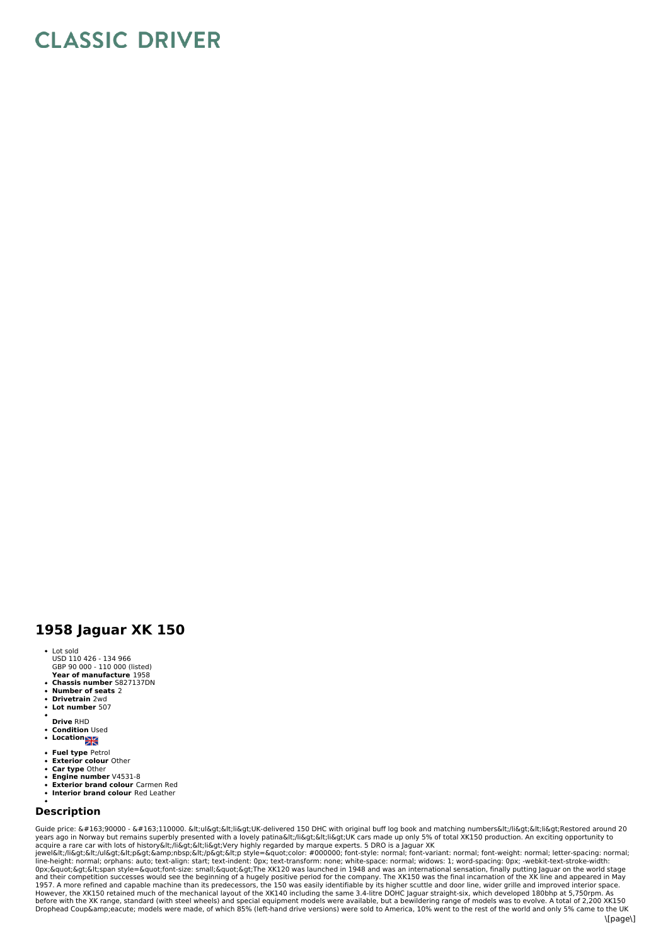## **CLASSIC DRIVER**

## **1958 Jaguar XK 150**

- **Year of manufacture** 1958 Lot sold USD 110 426 - 134 966 GBP 90 000 - 110 000 (listed)
- 
- **Chassis number** S827137DN **Number of seats** 2
- **Drivetrain** 2wd **Lot number** 507
- 
- 
- **Drive** RHD **Condition** Used
- Location<sub>2</sub>
- **Fuel type** Petrol **Exterior colour** Other
- **Car type** Other
- **Engine number** V4531-8
- **Exterior brand colour** Carmen Red
- **Interior brand colour** Red Leather

## **Description**

Guide price: £90000 - £110000. <ul&gt;&lt;li&gt;UK-delivered 150 DHC with original buff log book and matching numbers&lt;/li&gt;&lt;li&gt;Restored around 20 years ago in Norway but remains superbly presented with a lovely patina</li&gt;&lt;li&gt;UK cars made up only 5% of total XK150 production. An exciting opportunity to<br>acquire a rare car with lots of history&lt;/li&qt;&l jewel</li&gt;&lt;/ul&gt;&lt;p&gt;&amp;nbsp;&lt;/p&gt;&lt;p style=&quot;color: #000000; font-style: normal; font-variant: normal; font-weight: normal; letter-spacing: normal;<br>line-height: normal; orphans: auto; text-ali 0px;"><span style=&quot;font-size: small;&quot;&gt;The XK120 was launched in 1948 and was an international sensation, finally putting Jaguar on the world stage<br>and their competition successes would see the begin 1957. A more refined and capable machine than its predecessors, the 150 was easily identifiable by its higher scuttle and door line, wider grille and improved interior space.<br>However, the XK150 retained much of the mechani before with the XK range, standard (with steel wheels) and special equipment models were available, but a bewildering range of models was to evolve. A total of 2,200 XK150<br>Drophead Coup&amp;eacute; models were made, of whi \[page\]